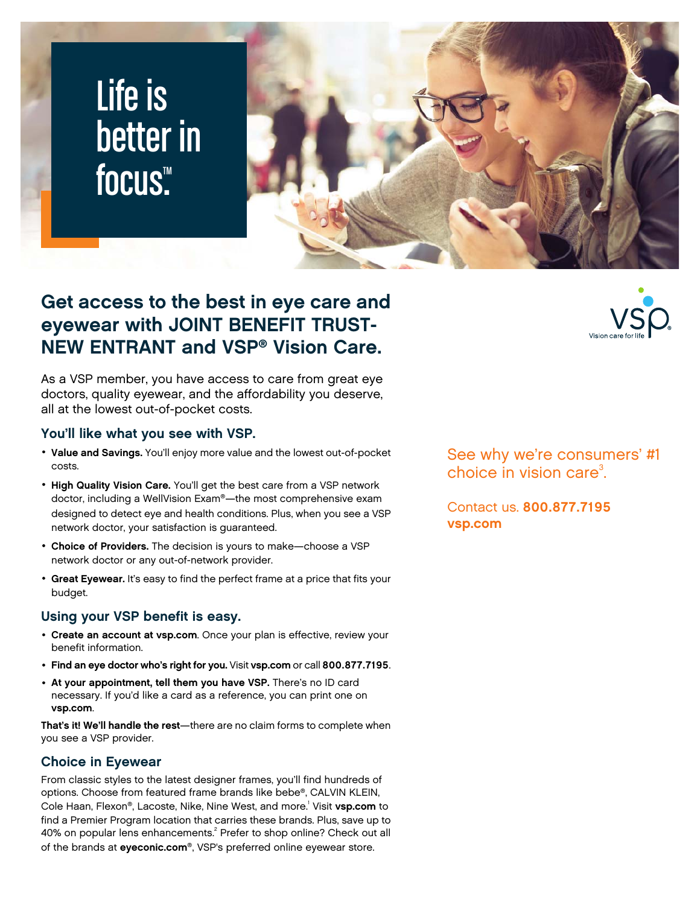# Life is better in focus<sup>™</sup>



### **Get access to the best in eye care and eyewear with JOINT BENEFIT TRUST-NEW ENTRANT and VSP® Vision Care.**

As a VSP member, you have access to care from great eye doctors, quality eyewear, and the affordability you deserve, all at the lowest out-of-pocket costs.

### **You'll like what you see with VSP.**

- **Value and Savings.** You'll enjoy more value and the lowest out-of-pocket costs.
- **High Quality Vision Care.** You'll get the best care from a VSP network doctor, including a WellVision Exam®—the most comprehensive exam designed to detect eye and health conditions. Plus, when you see a VSP network doctor, your satisfaction is guaranteed.
- **Choice of Providers.** The decision is yours to make—choose a VSP network doctor or any out-of-network provider.
- **Great Eyewear.** It's easy to find the perfect frame at a price that fits your budget.

### **Using your VSP benefit is easy.**

- **Create an account at [vsp.com](www.vsp.com)**. Once your plan is effective, review your benefit information.
- **Find an eye doctor who's right for you.** Visit **[vsp.com](www.vsp.com)** or call **800.877.7195**.
- **At your appointment, tell them you have VSP.** There's no ID card necessary. If you'd like a card as a reference, you can print one on **[vsp.com](www.vsp.com)**.

**That's it! We'll handle the rest**—there are no claim forms to complete when you see a VSP provider.

### **Choice in Eyewear**

From classic styles to the latest designer frames, you'll find hundreds of options. Choose from featured frame brands like bebe®, CALVIN KLEIN, Cole Haan, Flexon®, Lacoste, Nike, Nine West, and more.<sup>1</sup> Visit **[vsp.com](www.vsp.com)** to find a Premier Program location that carries these brands. Plus, save up to 40% on popular lens enhancements.<sup>2</sup> Prefer to shop online? Check out all of the brands at **[eyeconic.com](www.eyeconic.com)**®, VSP's preferred online eyewear store.

See why we're consumers' #1 choice in vision care $3$ . .

Contact us. **800.877.7195 [vsp.com](http://www.vsp.com)**